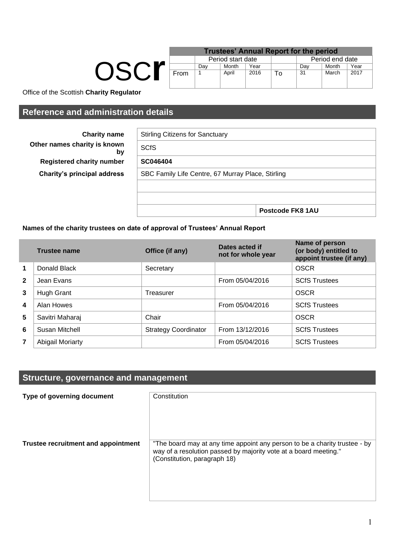| OSCr |
|------|
|      |

| <b>Trustees' Annual Report for the period</b> |                   |       |      |    |                 |       |      |
|-----------------------------------------------|-------------------|-------|------|----|-----------------|-------|------|
|                                               | Period start date |       |      |    | Period end date |       |      |
|                                               | Dav               | Month | Year |    | Dav             | Month | Year |
| From                                          |                   | April | 2016 | Т٥ | 31              | March | 2017 |

Office of the Scottish **Charity Regulator**

**Other names charity is known** 

**Registered charity number Charity's principal address** 

# **Reference and administration details**

**Charity name** 

by

| <b>SCfS</b>                                       |  |  |
|---------------------------------------------------|--|--|
| SC046404                                          |  |  |
| SBC Family Life Centre, 67 Murray Place, Stirling |  |  |
|                                                   |  |  |
|                                                   |  |  |

## **Names of the charity trustees on date of approval of Trustees' Annual Report**

|                | <b>Trustee name</b> | Office (if any)             | Dates acted if<br>not for whole year | Name of person<br>(or body) entitled to<br>appoint trustee (if any) |
|----------------|---------------------|-----------------------------|--------------------------------------|---------------------------------------------------------------------|
| 1              | Donald Black        | Secretary                   |                                      | <b>OSCR</b>                                                         |
| $\overline{2}$ | Jean Evans          |                             | From 05/04/2016                      | <b>SCfS Trustees</b>                                                |
| 3              | Hugh Grant          | Treasurer                   |                                      | <b>OSCR</b>                                                         |
| 4              | Alan Howes          |                             | From 05/04/2016                      | <b>SCfS Trustees</b>                                                |
| 5              | Savitri Maharaj     | Chair                       |                                      | <b>OSCR</b>                                                         |
| 6              | Susan Mitchell      | <b>Strategy Coordinator</b> | From 13/12/2016                      | <b>SCfS Trustees</b>                                                |
| $\overline{7}$ | Abigail Moriarty    |                             | From 05/04/2016                      | <b>SCfS Trustees</b>                                                |

# **Structure, governance and management**

| Type of governing document          | Constitution                                                                                                                                                                   |
|-------------------------------------|--------------------------------------------------------------------------------------------------------------------------------------------------------------------------------|
| Trustee recruitment and appointment | "The board may at any time appoint any person to be a charity trustee - by<br>way of a resolution passed by majority vote at a board meeting."<br>(Constitution, paragraph 18) |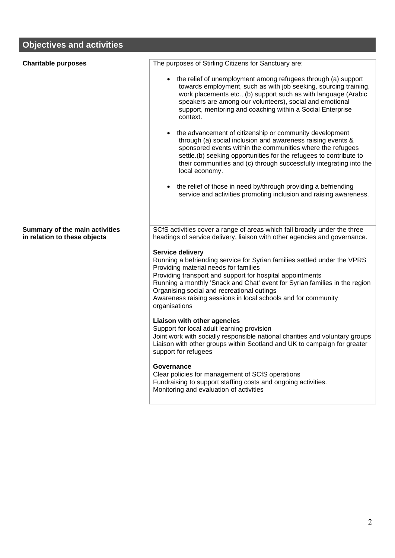# **Objectives and activities**

| <b>Charitable purposes</b>                                            | The purposes of Stirling Citizens for Sanctuary are:                                                                                                                                                                                                                                                                                                                                                             |
|-----------------------------------------------------------------------|------------------------------------------------------------------------------------------------------------------------------------------------------------------------------------------------------------------------------------------------------------------------------------------------------------------------------------------------------------------------------------------------------------------|
|                                                                       | • the relief of unemployment among refugees through (a) support<br>towards employment, such as with job seeking, sourcing training,<br>work placements etc., (b) support such as with language (Arabic<br>speakers are among our volunteers), social and emotional<br>support, mentoring and coaching within a Social Enterprise<br>context.                                                                     |
|                                                                       | • the advancement of citizenship or community development<br>through (a) social inclusion and awareness raising events &<br>sponsored events within the communities where the refugees<br>settle.(b) seeking opportunities for the refugees to contribute to<br>their communities and (c) through successfully integrating into the<br>local economy.                                                            |
|                                                                       | the relief of those in need by/through providing a befriending<br>service and activities promoting inclusion and raising awareness.                                                                                                                                                                                                                                                                              |
| <b>Summary of the main activities</b><br>in relation to these objects | SCfS activities cover a range of areas which fall broadly under the three<br>headings of service delivery, liaison with other agencies and governance.                                                                                                                                                                                                                                                           |
|                                                                       | Service delivery<br>Running a befriending service for Syrian families settled under the VPRS<br>Providing material needs for families<br>Providing transport and support for hospital appointments<br>Running a monthly 'Snack and Chat' event for Syrian families in the region<br>Organising social and recreational outings<br>Awareness raising sessions in local schools and for community<br>organisations |
|                                                                       | Liaison with other agencies<br>Support for local adult learning provision<br>Joint work with socially responsible national charities and voluntary groups<br>Liaison with other groups within Scotland and UK to campaign for greater<br>support for refugees                                                                                                                                                    |
|                                                                       | Governance<br>Clear policies for management of SCfS operations<br>Fundraising to support staffing costs and ongoing activities.<br>Monitoring and evaluation of activities                                                                                                                                                                                                                                       |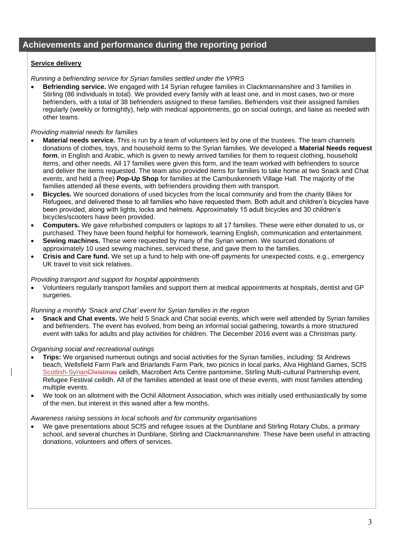# **Achievements and performance during the reporting period**

## **Service delivery**

*Running a befriending service for Syrian families settled under the VPRS*

• **Befriending service.** We engaged with 14 Syrian refugee families in Clackmannanshire and 3 families in Stirling (86 individuals in total). We provided every family with at least one, and in most cases, two or more befrienders, with a total of 38 befrienders assigned to these families. Befrienders visit their assigned families regularly (weekly or fortnightly), help with medical appointments, go on social outings, and liaise as needed with other teams.

### *Providing material needs for families*

- **Material needs service.** This is run by a team of volunteers led by one of the trustees. The team channels donations of clothes, toys, and household items to the Syrian families. We developed a **Material Needs request form**, in English and Arabic, which is given to newly arrived families for them to request clothing, household items, and other needs. All 17 families were given this form, and the team worked with befrienders to source and deliver the items requested. The team also provided items for families to take home at two Snack and Chat events, and held a (free) **Pop-Up Shop** for families at the Cambuskenneth Village Hall. The majority of the families attended all these events, with befrienders providing them with transport.
- **Bicycles.** We sourced donations of used bicycles from the local community and from the charity Bikes for Refugees, and delivered these to all families who have requested them. Both adult and children's bicycles have been provided, along with lights, locks and helmets. Approximately 15 adult bicycles and 30 children's bicycles/scooters have been provided.
- **Computers.** We gave refurbished computers or laptops to all 17 families. These were either donated to us, or purchased. They have been found helpful for homework, learning English, communication and entertainment.
- **Sewing machines.** These were requested by many of the Syrian women. We sourced donations of approximately 10 used sewing machines, serviced these, and gave them to the families.
- **Crisis and Care fund.** We set up a fund to help with one-off payments for unexpected costs, e.g., emergency UK travel to visit sick relatives.

#### *Providing transport and support for hospital appointments*

• Volunteers regularly transport families and support them at medical appointments at hospitals, dentist and GP surgeries.

#### *Running a monthly 'Snack and Chat' event for Syrian families in the region*

• **Snack and Chat events.** We held 5 Snack and Chat social events, which were well attended by Syrian families and befrienders. The event has evolved, from being an informal social gathering, towards a more structured event with talks for adults and play activities for children. The December 2016 event was a Christmas party.

#### *Organising social and recreational outings*

- **Trips:** We organised numerous outings and social activities for the Syrian families, including: St Andrews beach, Wellsfield Farm Park and Briarlands Farm Park, two picnics in local parks, Alva Highland Games, SCfS Scottish-SyrianChristmas ceilidh, Macrobert Arts Centre pantomime, Stirling Multi-cultural Partnership event, Refugee Festival ceilidh. All of the families attended at least one of these events, with most families attending multiple events.
- We took on an allotment with the Ochil Allotment Association, which was initially used enthusiastically by some of the men, but interest in this waned after a few months.

#### *Awareness raising sessions in local schools and for community organisations*

We gave presentations about SCfS and refugee issues at the Dunblane and Stirling Rotary Clubs, a primary school, and several churches in Dunblane, Stirling and Clackmannanshire. These have been useful in attracting donations, volunteers and offers of services.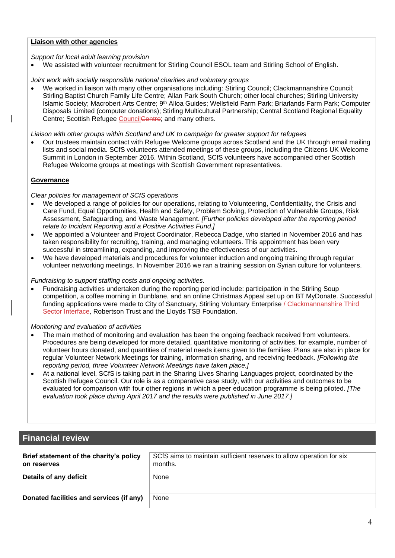## **Liaison with other agencies**

#### *Support for local adult learning provision*

• We assisted with volunteer recruitment for Stirling Council ESOL team and Stirling School of English.

*Joint work with socially responsible national charities and voluntary groups*

• We worked in liaison with many other organisations including: Stirling Council; Clackmannanshire Council; Stirling Baptist Church Family Life Centre; Allan Park South Church; other local churches; Stirling University Islamic Society; Macrobert Arts Centre; 9th Alloa Guides; Wellsfield Farm Park; Briarlands Farm Park; Computer Disposals Limited (computer donations); Stirling Multicultural Partnership; Central Scotland Regional Equality Centre; Scottish Refugee CouncilCentre; and many others.

*Liaison with other groups within Scotland and UK to campaign for greater support for refugees*

• Our trustees maintain contact with Refugee Welcome groups across Scotland and the UK through email mailing lists and social media. SCfS volunteers attended meetings of these groups, including the Citizens UK Welcome Summit in London in September 2016. Within Scotland, SCfS volunteers have accompanied other Scottish Refugee Welcome groups at meetings with Scottish Government representatives.

## **Governance**

#### *Clear policies for management of SCfS operations*

- We developed a range of policies for our operations, relating to Volunteering, Confidentiality, the Crisis and Care Fund, Equal Opportunities, Health and Safety, Problem Solving, Protection of Vulnerable Groups, Risk Assessment, Safeguarding, and Waste Management. *[Further policies developed after the reporting period relate to Incident Reporting and a Positive Activities Fund.]*
- We appointed a Volunteer and Project Coordinator, Rebecca Dadge, who started in November 2016 and has taken responsibility for recruiting, training, and managing volunteers. This appointment has been very successful in streamlining, expanding, and improving the effectiveness of our activities.
- We have developed materials and procedures for volunteer induction and ongoing training through regular volunteer networking meetings. In November 2016 we ran a training session on Syrian culture for volunteers.

### *Fundraising to support staffing costs and ongoing activities.*

• Fundraising activities undertaken during the reporting period include: participation in the Stirling Soup competition, a coffee morning in Dunblane, and an online Christmas Appeal set up on BT MyDonate. Successful funding applications were made to City of Sanctuary, Stirling Voluntary Enterprise / Clackmannanshire Third Sector Interface, Robertson Trust and the Lloyds TSB Foundation.

*Monitoring and evaluation of activities*

- The main method of monitoring and evaluation has been the ongoing feedback received from volunteers. Procedures are being developed for more detailed, quantitative monitoring of activities, for example, number of volunteer hours donated, and quantities of material needs items given to the families. Plans are also in place for regular Volunteer Network Meetings for training, information sharing, and receiving feedback. *[Following the reporting period, three Volunteer Network Meetings have taken place.]*
- At a national level, SCfS is taking part in the Sharing Lives Sharing Languages project, coordinated by the Scottish Refugee Council. Our role is as a comparative case study, with our activities and outcomes to be evaluated for comparison with four other regions in which a peer education programme is being piloted. *[The evaluation took place during April 2017 and the results were published in June 2017.]*

# **Financial review**

| Brief statement of the charity's policy<br>on reserves | SCfS aims to maintain sufficient reserves to allow operation for six<br>months. |
|--------------------------------------------------------|---------------------------------------------------------------------------------|
| Details of any deficit                                 | None                                                                            |
| Donated facilities and services (if any)               | None                                                                            |